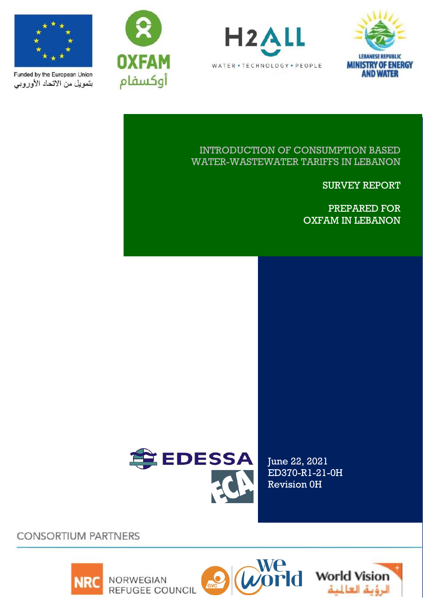







Funded by the European Union بتمويل من الاتحاد الأوروبي

## INTRODUCTION OF CONSUMPTION BASED WATER-WASTEWATER TARIFFS IN LEBANON

SURVEY REPORT

PREPARED FOR OXFAM IN LEBANON



June 22, 2021 ED370-R1-21-0H Revision 0H

**CONSORTIUM PARTNERS** 







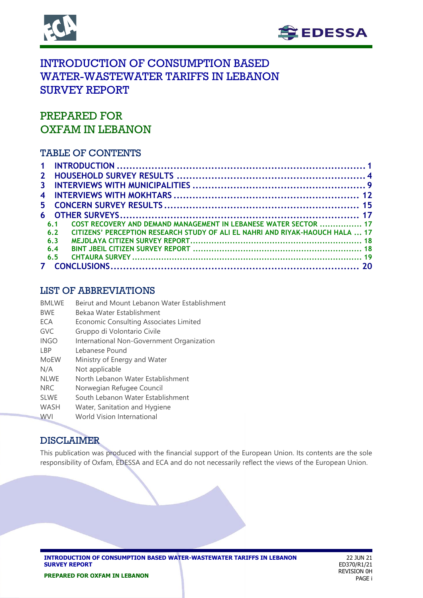



# INTRODUCTION OF CONSUMPTION BASED WATER-WASTEWATER TARIFFS IN LEBANON SURVEY REPORT

# PREPARED FOR OXFAM IN LEBANON

## TABLE OF CONTENTS

| 2 <sup>1</sup> |     |                                                                               |  |
|----------------|-----|-------------------------------------------------------------------------------|--|
| 3              |     |                                                                               |  |
| 4              |     |                                                                               |  |
| 5.             |     |                                                                               |  |
|                |     |                                                                               |  |
|                | 61  | COST RECOVERY AND DEMAND MANAGEMENT IN LEBANESE WATER SECTOR  17              |  |
|                | 6.2 | CITIZENS' PERCEPTION RESEARCH STUDY OF ALL EL NAHRI AND RIYAK-HAOUCH HALA  17 |  |
|                | 6.3 |                                                                               |  |
|                | 6.4 |                                                                               |  |
|                | 6.5 |                                                                               |  |
|                |     |                                                                               |  |

## LIST OF ABBREVIATIONS

| <b>BMLWE</b> | Beirut and Mount Lebanon Water Establishment |
|--------------|----------------------------------------------|
| <b>BWF</b>   | Bekaa Water Establishment                    |
| ECA          | Economic Consulting Associates Limited       |
| GVC          | Gruppo di Volontario Civile                  |
| <b>INGO</b>  | International Non-Government Organization    |
| I BP         | Lebanese Pound                               |
| <b>MoEW</b>  | Ministry of Energy and Water                 |
| N/A          | Not applicable                               |
| <b>NLWE</b>  | North Lebanon Water Establishment            |
| <b>NRC</b>   | Norwegian Refugee Council                    |
| <b>SLWE</b>  | South Lebanon Water Establishment            |
| <b>WASH</b>  | Water, Sanitation and Hygiene                |
| <b>WVI</b>   | World Vision International                   |

## DISCLAIMER

This publication was produced with the financial support of the European Union. Its contents are the sole responsibility of Oxfam, EDESSA and ECA and do not necessarily reflect the views of the European Union.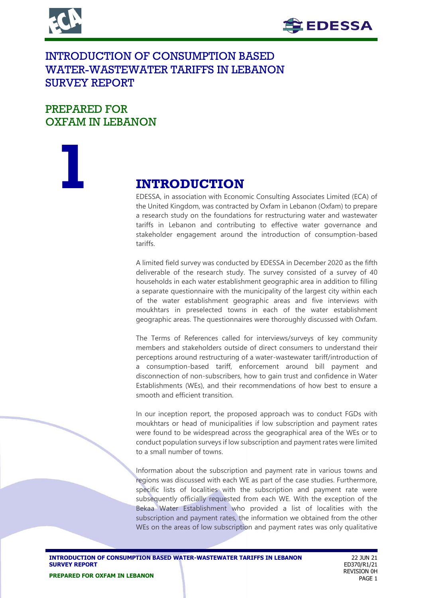



# INTRODUCTION OF CONSUMPTION BASED WATER-WASTEWATER TARIFFS IN LEBANON SURVEY REPORT

# PREPARED FOR OXFAM IN LEBANON

# **1 INTRODUCTION**<br>EDESSA, in association with Econo

EDESSA, in association with Economic Consulting Associates Limited (ECA) of the United Kingdom, was contracted by Oxfam in Lebanon (Oxfam) to prepare a research study on the foundations for restructuring water and wastewater tariffs in Lebanon and contributing to effective water governance and stakeholder engagement around the introduction of consumption-based tariffs.

A limited field survey was conducted by EDESSA in December 2020 as the fifth deliverable of the research study. The survey consisted of a survey of 40 households in each water establishment geographic area in addition to filling a separate questionnaire with the municipality of the largest city within each of the water establishment geographic areas and five interviews with moukhtars in preselected towns in each of the water establishment geographic areas. The questionnaires were thoroughly discussed with Oxfam.

The Terms of References called for interviews/surveys of key community members and stakeholders outside of direct consumers to understand their perceptions around restructuring of a water-wastewater tariff/introduction of a consumption-based tariff, enforcement around bill payment and disconnection of non-subscribers, how to gain trust and confidence in Water Establishments (WEs), and their recommendations of how best to ensure a smooth and efficient transition.

In our inception report, the proposed approach was to conduct FGDs with moukhtars or head of municipalities if low subscription and payment rates were found to be widespread across the geographical area of the WEs or to conduct population surveys if low subscription and payment rates were limited to a small number of towns.

Information about the subscription and payment rate in various towns and regions was discussed with each WE as part of the case studies. Furthermore, specific lists of localities with the subscription and payment rate were subsequently officially requested from each WE. With the exception of the Bekaa Water Establishment who provided a list of localities with the subscription and payment rates, the information we obtained from the other WEs on the areas of low subscription and payment rates was only qualitative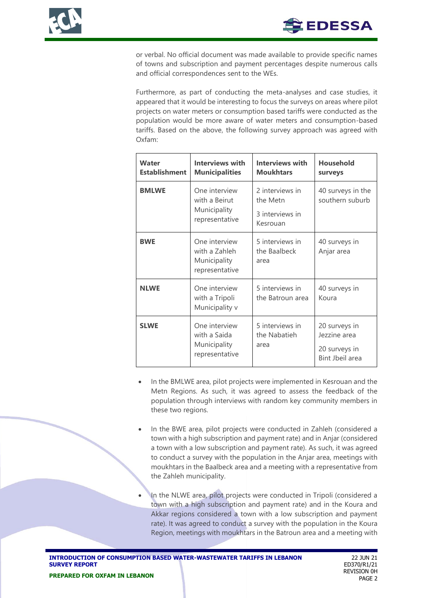or verbal. No official document was made available to provide specific names of towns and subscription and payment percentages despite numerous calls and official correspondences sent to the WEs.

Furthermore, as part of conducting the meta-analyses and case studies, it appeared that it would be interesting to focus the surveys on areas where pilot projects on water meters or consumption based tariffs were conducted as the population would be more aware of water meters and consumption-based tariffs. Based on the above, the following survey approach was agreed with Oxfam:

| <b>Water</b><br><b>Establishment</b> | Interviews with<br><b>Municipalities</b>                         | Interviews with<br><b>Moukhtars</b>                        | <b>Household</b><br>surveys                                       |
|--------------------------------------|------------------------------------------------------------------|------------------------------------------------------------|-------------------------------------------------------------------|
| <b>BMLWE</b>                         | One interview<br>with a Beirut<br>Municipality<br>representative | 2 interviews in<br>the Metn<br>3 interviews in<br>Kesrouan | 40 surveys in the<br>southern suburb                              |
| <b>BWE</b>                           | One interview<br>with a Zahleh<br>Municipality<br>representative | 5 interviews in<br>the Baalbeck<br>area                    | 40 surveys in<br>Anjar area                                       |
| <b>NLWE</b>                          | One interview<br>with a Tripoli<br>Municipality v                | 5 interviews in<br>the Batroun area                        | 40 surveys in<br>Koura                                            |
| <b>SLWE</b>                          | One interview<br>with a Saida<br>Municipality<br>representative  | 5 interviews in<br>the Nabatieh<br>area                    | 20 surveys in<br>Jezzine area<br>20 surveys in<br>Bint Jbeil area |

- In the BMLWE area, pilot projects were implemented in Kesrouan and the Metn Regions. As such, it was agreed to assess the feedback of the population through interviews with random key community members in these two regions.
- In the BWE area, pilot projects were conducted in Zahleh (considered a town with a high subscription and payment rate) and in Anjar (considered a town with a low subscription and payment rate). As such, it was agreed to conduct a survey with the population in the Anjar area, meetings with moukhtars in the Baalbeck area and a meeting with a representative from the Zahleh municipality.
	- In the NLWE area, pilot projects were conducted in Tripoli (considered a town with a high subscription and payment rate) and in the Koura and Akkar regions considered a town with a low subscription and payment rate). It was agreed to conduct a survey with the population in the Koura Region, meetings with moukhtars in the Batroun area and a meeting with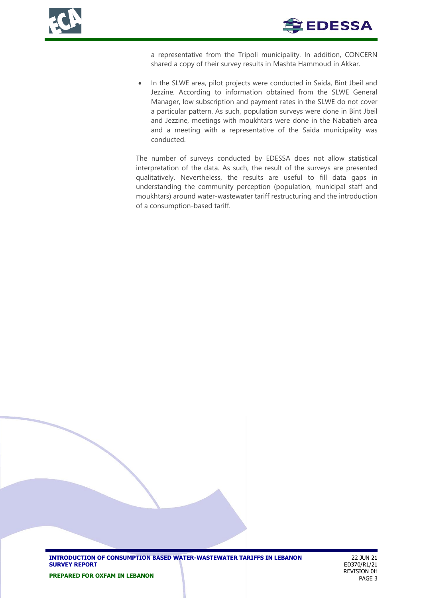



a representative from the Tripoli municipality. In addition, CONCERN shared a copy of their survey results in Mashta Hammoud in Akkar.

• In the SLWE area, pilot projects were conducted in Saida, Bint Jbeil and Jezzine. According to information obtained from the SLWE General Manager, low subscription and payment rates in the SLWE do not cover a particular pattern. As such, population surveys were done in Bint Jbeil and Jezzine, meetings with moukhtars were done in the Nabatieh area and a meeting with a representative of the Saida municipality was conducted.

The number of surveys conducted by EDESSA does not allow statistical interpretation of the data. As such, the result of the surveys are presented qualitatively. Nevertheless, the results are useful to fill data gaps in understanding the community perception (population, municipal staff and moukhtars) around water-wastewater tariff restructuring and the introduction of a consumption-based tariff.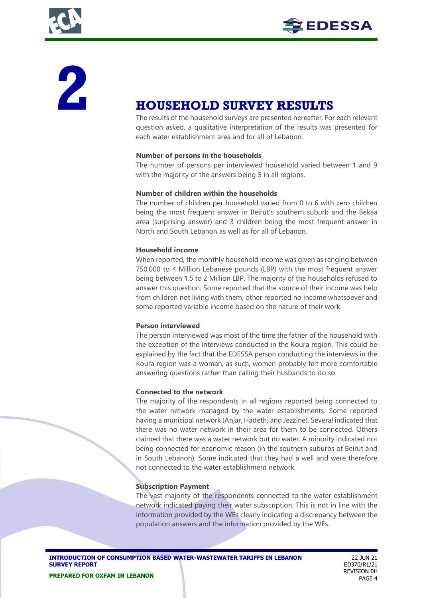



# **2 HOUSEHOLD SURVEY RESULTS**

The results of the household surveys are presented hereafter. For each relevant question asked, a qualitative interpretation of the results was presented for each water establishment area and for all of Lebanon.

### **Number of persons in the households**

The number of persons per interviewed household varied between 1 and 9 with the majority of the answers being 5 in all regions.

### **Number of children within the households**

The number of children per household varied from 0 to 6 with zero children being the most frequent answer in Beirut's southern suburb and the Bekaa area (surprising answer) and 3 children being the most frequent answer in North and South Lebanon as well as for all of Lebanon.

### **Household income**

When reported, the monthly household income was given as ranging between 750,000 to 4 Million Lebanese pounds (LBP) with the most frequent answer being between 1.5 to 2 Million LBP. The majority of the households refused to answer this question. Some reported that the source of their income was help from children not living with them, other reported no income whatsoever and some reported variable income based on the nature of their work.

#### **Person interviewed**

The person interviewed was most of the time the father of the household with the exception of the interviews conducted in the Koura region. This could be explained by the fact that the EDESSA person conducting the interviews in the Koura region was a woman, as such, women probably felt more comfortable answering questions rather than calling their husbands to do so.

## **Connected to the network**

The majority of the respondents in all regions reported being connected to the water network managed by the water establishments. Some reported having a municipal network (Anjar, Hadeth, and Jezzine). Several indicated that there was no water network in their area for them to be connected. Others claimed that there was a water network but no water. A minority indicated not being connected for economic reason (in the southern suburbs of Beirut and in South Lebanon). Some indicated that they had a well and were therefore not connected to the water establishment network.

## **Subscription Payment**

The vast majority of the respondents connected to the water establishment network indicated paying their water subscription. This is not in line with the information provided by the WEs clearly indicating a discrepancy between the population answers and the information provided by the WEs.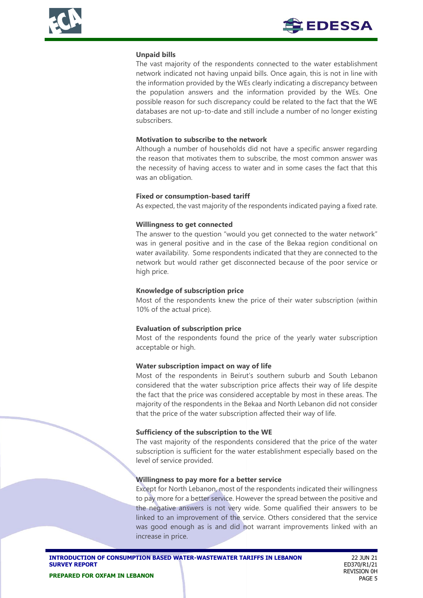### **Unpaid bills**

The vast majority of the respondents connected to the water establishment network indicated not having unpaid bills. Once again, this is not in line with the information provided by the WEs clearly indicating a discrepancy between the population answers and the information provided by the WEs. One possible reason for such discrepancy could be related to the fact that the WE databases are not up-to-date and still include a number of no longer existing subscribers.

#### **Motivation to subscribe to the network**

Although a number of households did not have a specific answer regarding the reason that motivates them to subscribe, the most common answer was the necessity of having access to water and in some cases the fact that this was an obligation.

### **Fixed or consumption-based tariff**

As expected, the vast majority of the respondents indicated paying a fixed rate.

### **Willingness to get connected**

The answer to the question "would you get connected to the water network" was in general positive and in the case of the Bekaa region conditional on water availability. Some respondents indicated that they are connected to the network but would rather get disconnected because of the poor service or high price.

### **Knowledge of subscription price**

Most of the respondents knew the price of their water subscription (within 10% of the actual price).

## **Evaluation of subscription price**

Most of the respondents found the price of the yearly water subscription acceptable or high.

#### **Water subscription impact on way of life**

Most of the respondents in Beirut's southern suburb and South Lebanon considered that the water subscription price affects their way of life despite the fact that the price was considered acceptable by most in these areas. The majority of the respondents in the Bekaa and North Lebanon did not consider that the price of the water subscription affected their way of life.

#### **Sufficiency of the subscription to the WE**

The vast majority of the respondents considered that the price of the water subscription is sufficient for the water establishment especially based on the level of service provided.

#### **Willingness to pay more for a better service**

Except for North Lebanon, most of the respondents indicated their willingness to pay more for a better service. However the spread between the positive and the negative answers is not very wide. Some qualified their answers to be linked to an improvement of the service. Others considered that the service was good enough as is and did not warrant improvements linked with an increase in price.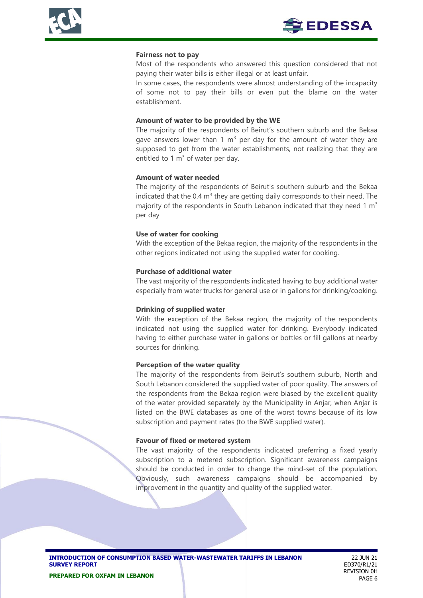

#### **Fairness not to pay**

Most of the respondents who answered this question considered that not paying their water bills is either illegal or at least unfair.

In some cases, the respondents were almost understanding of the incapacity of some not to pay their bills or even put the blame on the water establishment.

#### **Amount of water to be provided by the WE**

The majority of the respondents of Beirut's southern suburb and the Bekaa gave answers lower than 1  $m<sup>3</sup>$  per day for the amount of water they are supposed to get from the water establishments, not realizing that they are entitled to 1  $m<sup>3</sup>$  of water per day.

#### **Amount of water needed**

The majority of the respondents of Beirut's southern suburb and the Bekaa indicated that the 0.4  $m^3$  they are getting daily corresponds to their need. The majority of the respondents in South Lebanon indicated that they need 1  $m<sup>3</sup>$ per day

#### **Use of water for cooking**

With the exception of the Bekaa region, the majority of the respondents in the other regions indicated not using the supplied water for cooking.

#### **Purchase of additional water**

The vast majority of the respondents indicated having to buy additional water especially from water trucks for general use or in gallons for drinking/cooking.

#### **Drinking of supplied water**

With the exception of the Bekaa region, the majority of the respondents indicated not using the supplied water for drinking. Everybody indicated having to either purchase water in gallons or bottles or fill gallons at nearby sources for drinking.

#### **Perception of the water quality**

The majority of the respondents from Beirut's southern suburb, North and South Lebanon considered the supplied water of poor quality. The answers of the respondents from the Bekaa region were biased by the excellent quality of the water provided separately by the Municipality in Anjar, when Anjar is listed on the BWE databases as one of the worst towns because of its low subscription and payment rates (to the BWE supplied water).

#### **Favour of fixed or metered system**

The vast majority of the respondents indicated preferring a fixed yearly subscription to a metered subscription. Significant awareness campaigns should be conducted in order to change the mind-set of the population. Obviously, such awareness campaigns should be accompanied by improvement in the quantity and quality of the supplied water.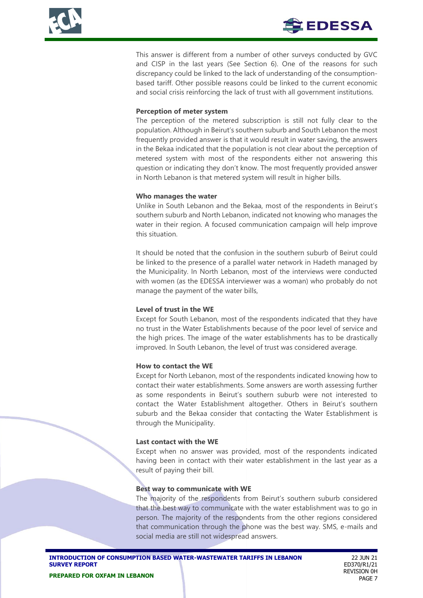This answer is different from a number of other surveys conducted by GVC and CISP in the last years (See Section 6). One of the reasons for such discrepancy could be linked to the lack of understanding of the consumptionbased tariff. Other possible reasons could be linked to the current economic and social crisis reinforcing the lack of trust with all government institutions.

### **Perception of meter system**

The perception of the metered subscription is still not fully clear to the population. Although in Beirut's southern suburb and South Lebanon the most frequently provided answer is that it would result in water saving, the answers in the Bekaa indicated that the population is not clear about the perception of metered system with most of the respondents either not answering this question or indicating they don't know. The most frequently provided answer in North Lebanon is that metered system will result in higher bills.

### **Who manages the water**

Unlike in South Lebanon and the Bekaa, most of the respondents in Beirut's southern suburb and North Lebanon, indicated not knowing who manages the water in their region. A focused communication campaign will help improve this situation.

It should be noted that the confusion in the southern suburb of Beirut could be linked to the presence of a parallel water network in Hadeth managed by the Municipality. In North Lebanon, most of the interviews were conducted with women (as the EDESSA interviewer was a woman) who probably do not manage the payment of the water bills,

## **Level of trust in the WE**

Except for South Lebanon, most of the respondents indicated that they have no trust in the Water Establishments because of the poor level of service and the high prices. The image of the water establishments has to be drastically improved. In South Lebanon, the level of trust was considered average.

#### **How to contact the WE**

Except for North Lebanon, most of the respondents indicated knowing how to contact their water establishments. Some answers are worth assessing further as some respondents in Beirut's southern suburb were not interested to contact the Water Establishment altogether. Others in Beirut's southern suburb and the Bekaa consider that contacting the Water Establishment is through the Municipality.

#### **Last contact with the WE**

Except when no answer was provided, most of the respondents indicated having been in contact with their water establishment in the last year as a result of paying their bill.

#### **Best way to communicate with WE**

The majority of the respondents from Beirut's southern suburb considered that the best way to communicate with the water establishment was to go in person. The majority of the respondents from the other regions considered that communication through the phone was the best way. SMS, e-mails and social media are still not widespread answers.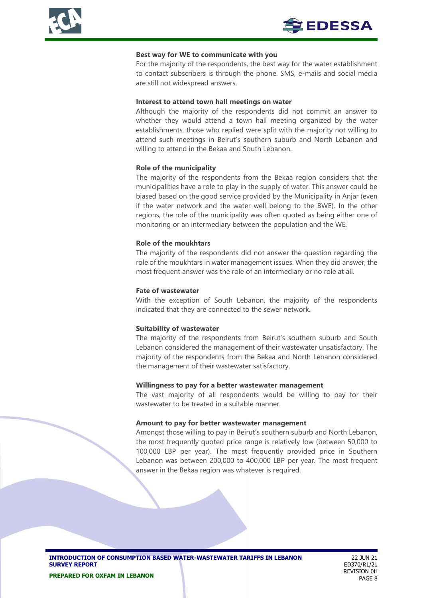

#### **Best way for WE to communicate with you**

For the majority of the respondents, the best way for the water establishment to contact subscribers is through the phone. SMS, e-mails and social media are still not widespread answers.

#### **Interest to attend town hall meetings on water**

Although the majority of the respondents did not commit an answer to whether they would attend a town hall meeting organized by the water establishments, those who replied were split with the majority not willing to attend such meetings in Beirut's southern suburb and North Lebanon and willing to attend in the Bekaa and South Lebanon.

#### **Role of the municipality**

The majority of the respondents from the Bekaa region considers that the municipalities have a role to play in the supply of water. This answer could be biased based on the good service provided by the Municipality in Anjar (even if the water network and the water well belong to the BWE). In the other regions, the role of the municipality was often quoted as being either one of monitoring or an intermediary between the population and the WE.

#### **Role of the moukhtars**

The majority of the respondents did not answer the question regarding the role of the moukhtars in water management issues. When they did answer, the most frequent answer was the role of an intermediary or no role at all.

#### **Fate of wastewater**

With the exception of South Lebanon, the majority of the respondents indicated that they are connected to the sewer network.

#### **Suitability of wastewater**

The majority of the respondents from Beirut's southern suburb and South Lebanon considered the management of their wastewater unsatisfactory. The majority of the respondents from the Bekaa and North Lebanon considered the management of their wastewater satisfactory.

#### **Willingness to pay for a better wastewater management**

The vast majority of all respondents would be willing to pay for their wastewater to be treated in a suitable manner.

#### **Amount to pay for better wastewater management**

Amongst those willing to pay in Beirut's southern suburb and North Lebanon, the most frequently quoted price range is relatively low (between 50,000 to 100,000 LBP per year). The most frequently provided price in Southern Lebanon was between 200,000 to 400,000 LBP per year. The most frequent answer in the Bekaa region was whatever is required.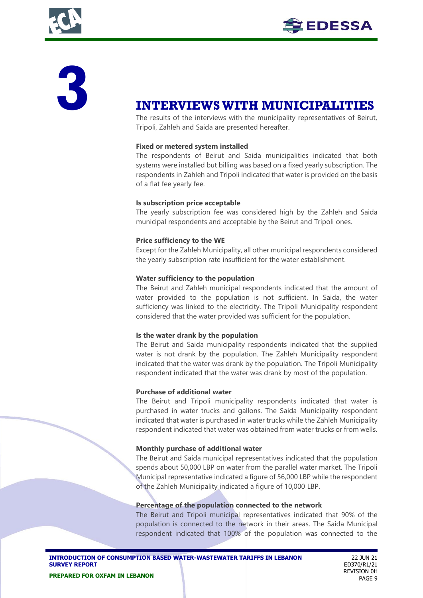



# **3 INTERVIEWS WITH MUNICIPALITIES**

The results of the interviews with the municipality representatives of Beirut, Tripoli, Zahleh and Saida are presented hereafter.

#### **Fixed or metered system installed**

The respondents of Beirut and Saida municipalities indicated that both systems were installed but billing was based on a fixed yearly subscription. The respondents in Zahleh and Tripoli indicated that water is provided on the basis of a flat fee yearly fee.

#### **Is subscription price acceptable**

The yearly subscription fee was considered high by the Zahleh and Saida municipal respondents and acceptable by the Beirut and Tripoli ones.

#### **Price sufficiency to the WE**

Except for the Zahleh Municipality, all other municipal respondents considered the yearly subscription rate insufficient for the water establishment.

#### **Water sufficiency to the population**

The Beirut and Zahleh municipal respondents indicated that the amount of water provided to the population is not sufficient. In Saida, the water sufficiency was linked to the electricity. The Tripoli Municipality respondent considered that the water provided was sufficient for the population.

#### **Is the water drank by the population**

The Beirut and Saida municipality respondents indicated that the supplied water is not drank by the population. The Zahleh Municipality respondent indicated that the water was drank by the population. The Tripoli Municipality respondent indicated that the water was drank by most of the population.

#### **Purchase of additional water**

The Beirut and Tripoli municipality respondents indicated that water is purchased in water trucks and gallons. The Saida Municipality respondent indicated that water is purchased in water trucks while the Zahleh Municipality respondent indicated that water was obtained from water trucks or from wells.

#### **Monthly purchase of additional water**

The Beirut and Saida municipal representatives indicated that the population spends about 50,000 LBP on water from the parallel water market. The Tripoli Municipal representative indicated a figure of 56,000 LBP while the respondent of the Zahleh Municipality indicated a figure of 10,000 LBP.

#### **Percentage of the population connected to the network**

The Beirut and Tripoli municipal representatives indicated that 90% of the population is connected to the network in their areas. The Saida Municipal respondent indicated that 100% of the population was connected to the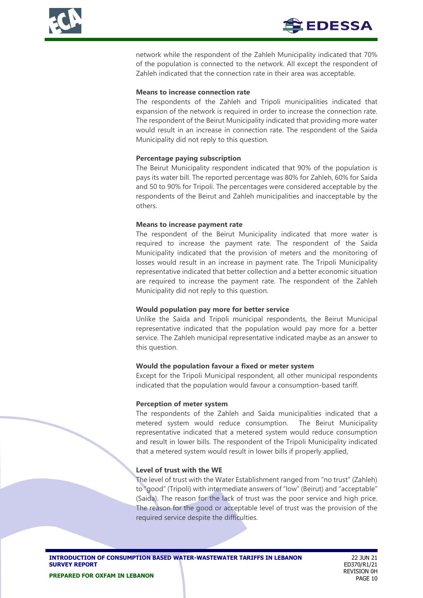network while the respondent of the Zahleh Municipality indicated that 70% of the population is connected to the network. All except the respondent of Zahleh indicated that the connection rate in their area was acceptable.

#### **Means to increase connection rate**

The respondents of the Zahleh and Tripoli municipalities indicated that expansion of the network is required in order to increase the connection rate. The respondent of the Beirut Municipality indicated that providing more water would result in an increase in connection rate. The respondent of the Saida Municipality did not reply to this question.

#### **Percentage paying subscription**

The Beirut Municipality respondent indicated that 90% of the population is pays its water bill. The reported percentage was 80% for Zahleh, 60% for Saida and 50 to 90% for Tripoli. The percentages were considered acceptable by the respondents of the Beirut and Zahleh municipalities and inacceptable by the others.

#### **Means to increase payment rate**

The respondent of the Beirut Municipality indicated that more water is required to increase the payment rate. The respondent of the Saida Municipality indicated that the provision of meters and the monitoring of losses would result in an increase in payment rate. The Tripoli Municipality representative indicated that better collection and a better economic situation are required to increase the payment rate. The respondent of the Zahleh Municipality did not reply to this question.

#### **Would population pay more for better service**

Unlike the Saida and Tripoli municipal respondents, the Beirut Municipal representative indicated that the population would pay more for a better service. The Zahleh municipal representative indicated maybe as an answer to this question.

## **Would the population favour a fixed or meter system**

Except for the Tripoli Municipal respondent, all other municipal respondents indicated that the population would favour a consumption-based tariff.

#### **Perception of meter system**

The respondents of the Zahleh and Saida municipalities indicated that a metered system would reduce consumption. The Beirut Municipality representative indicated that a metered system would reduce consumption and result in lower bills. The respondent of the Tripoli Municipality indicated that a metered system would result in lower bills if properly applied,

#### **Level of trust with the WE**

The level of trust with the Water Establishment ranged from "no trust" (Zahleh) to "good" (Tripoli) with intermediate answers of "low" (Beirut) and "acceptable" (Saida). The reason for the lack of trust was the poor service and high price. The reason for the good or acceptable level of trust was the provision of the required service despite the difficulties.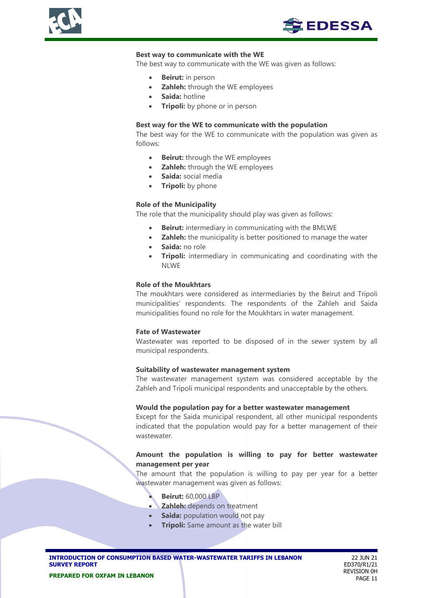



#### **Best way to communicate with the WE**

The best way to communicate with the WE was given as follows:

- **Beirut:** in person
- **Zahleh:** through the WE employees
- **Saida:** hotline
- **Tripoli:** by phone or in person

#### **Best way for the WE to communicate with the population**

The best way for the WE to communicate with the population was given as follows:

- **Beirut:** through the WE employees
- **Zahleh:** through the WE employees
- **Saida:** social media
- **Tripoli:** by phone

#### **Role of the Municipality**

The role that the municipality should play was given as follows:

- **Beirut:** intermediary in communicating with the BMLWE
- **Zahleh:** the municipality is better positioned to manage the water
- **Saida:** no role
- **Tripoli:** intermediary in communicating and coordinating with the NLWE

#### **Role of the Moukhtars**

The moukhtars were considered as intermediaries by the Beirut and Tripoli municipalities' respondents. The respondents of the Zahleh and Saida municipalities found no role for the Moukhtars in water management.

#### **Fate of Wastewater**

Wastewater was reported to be disposed of in the sewer system by all municipal respondents.

#### **Suitability of wastewater management system**

The wastewater management system was considered acceptable by the Zahleh and Tripoli municipal respondents and unacceptable by the others.

#### **Would the population pay for a better wastewater management**

Except for the Saida municipal respondent, all other municipal respondents indicated that the population would pay for a better management of their wastewater.

#### **Amount the population is willing to pay for better wastewater management per year**

The amount that the population is willing to pay per year for a better wastewater management was given as follows:

- **Beirut:** 60,000 LBP
- **Zahleh:** depends on treatment
- **Saida:** population would not pay
- **Tripoli:** Same amount as the water bill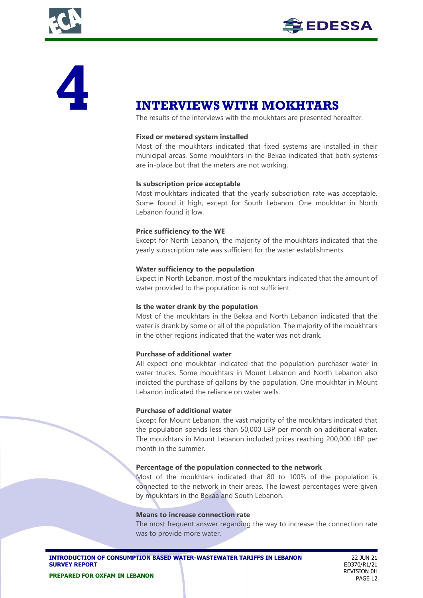



# **1NTERVIEWS WITH MOKHTARS**<br>The results of the interviews with the moukhtars are presented he

The results of the interviews with the moukhtars are presented hereafter.

### **Fixed or metered system installed**

Most of the moukhtars indicated that fixed systems are installed in their municipal areas. Some moukhtars in the Bekaa indicated that both systems are in-place but that the meters are not working.

### **Is subscription price acceptable**

Most moukhtars indicated that the yearly subscription rate was acceptable. Some found it high, except for South Lebanon. One moukhtar in North Lebanon found it low.

### **Price sufficiency to the WE**

Except for North Lebanon, the majority of the moukhtars indicated that the yearly subscription rate was sufficient for the water establishments.

#### **Water sufficiency to the population**

Expect in North Lebanon, most of the moukhtars indicated that the amount of water provided to the population is not sufficient.

#### **Is the water drank by the population**

Most of the moukhtars in the Bekaa and North Lebanon indicated that the water is drank by some or all of the population. The majority of the moukhtars in the other regions indicated that the water was not drank.

#### **Purchase of additional water**

All expect one moukhtar indicated that the population purchaser water in water trucks. Some moukhtars in Mount Lebanon and North Lebanon also indicted the purchase of gallons by the population. One moukhtar in Mount Lebanon indicated the reliance on water wells.

#### **Purchase of additional water**

Except for Mount Lebanon, the vast majority of the moukhtars indicated that the population spends less than 50,000 LBP per month on additional water. The moukhtars in Mount Lebanon included prices reaching 200,000 LBP per month in the summer.

#### **Percentage of the population connected to the network**

Most of the moukhtars indicated that 80 to 100% of the population is connected to the network in their areas. The lowest percentages were given by moukhtars in the Bekaa and South Lebanon.

#### **Means to increase connection rate**

The most frequent answer regarding the way to increase the connection rate was to provide more water.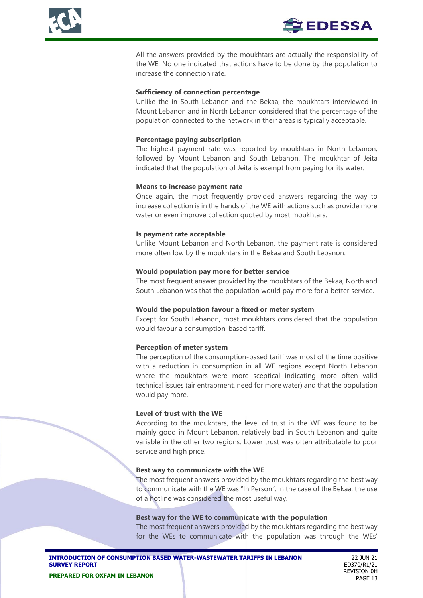



All the answers provided by the moukhtars are actually the responsibility of the WE. No one indicated that actions have to be done by the population to increase the connection rate.

#### **Sufficiency of connection percentage**

Unlike the in South Lebanon and the Bekaa, the moukhtars interviewed in Mount Lebanon and in North Lebanon considered that the percentage of the population connected to the network in their areas is typically acceptable.

#### **Percentage paying subscription**

The highest payment rate was reported by moukhtars in North Lebanon, followed by Mount Lebanon and South Lebanon. The moukhtar of Jeita indicated that the population of Jeita is exempt from paying for its water.

#### **Means to increase payment rate**

Once again, the most frequently provided answers regarding the way to increase collection is in the hands of the WE with actions such as provide more water or even improve collection quoted by most moukhtars.

#### **Is payment rate acceptable**

Unlike Mount Lebanon and North Lebanon, the payment rate is considered more often low by the moukhtars in the Bekaa and South Lebanon.

#### **Would population pay more for better service**

The most frequent answer provided by the moukhtars of the Bekaa, North and South Lebanon was that the population would pay more for a better service.

#### **Would the population favour a fixed or meter system**

Except for South Lebanon, most moukhtars considered that the population would favour a consumption-based tariff.

#### **Perception of meter system**

The perception of the consumption-based tariff was most of the time positive with a reduction in consumption in all WE regions except North Lebanon where the moukhtars were more sceptical indicating more often valid technical issues (air entrapment, need for more water) and that the population would pay more.

#### **Level of trust with the WE**

According to the moukhtars, the level of trust in the WE was found to be mainly good in Mount Lebanon, relatively bad in South Lebanon and quite variable in the other two regions. Lower trust was often attributable to poor service and high price.

#### **Best way to communicate with the WE**

The most frequent answers provided by the moukhtars regarding the best way to communicate with the WE was "In Person". In the case of the Bekaa, the use of a hotline was considered the most useful way.

#### **Best way for the WE to communicate with the population**

The most frequent answers provided by the moukhtars regarding the best way for the WEs to communicate with the population was through the WEs'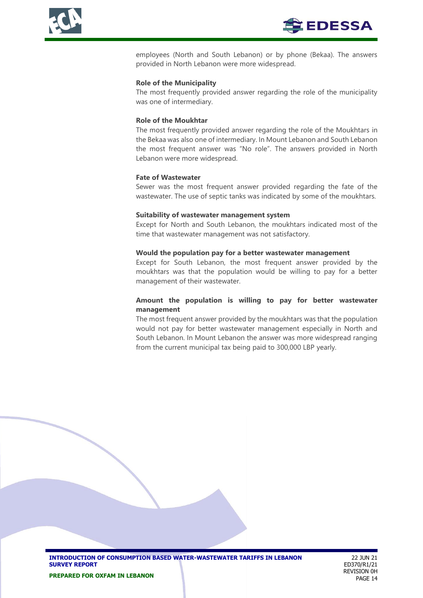

employees (North and South Lebanon) or by phone (Bekaa). The answers provided in North Lebanon were more widespread.

#### **Role of the Municipality**

The most frequently provided answer regarding the role of the municipality was one of intermediary.

#### **Role of the Moukhtar**

The most frequently provided answer regarding the role of the Moukhtars in the Bekaa was also one of intermediary. In Mount Lebanon and South Lebanon the most frequent answer was "No role". The answers provided in North Lebanon were more widespread.

#### **Fate of Wastewater**

Sewer was the most frequent answer provided regarding the fate of the wastewater. The use of septic tanks was indicated by some of the moukhtars.

#### **Suitability of wastewater management system**

Except for North and South Lebanon, the moukhtars indicated most of the time that wastewater management was not satisfactory.

#### **Would the population pay for a better wastewater management**

Except for South Lebanon, the most frequent answer provided by the moukhtars was that the population would be willing to pay for a better management of their wastewater.

### **Amount the population is willing to pay for better wastewater management**

The most frequent answer provided by the moukhtars was that the population would not pay for better wastewater management especially in North and South Lebanon. In Mount Lebanon the answer was more widespread ranging from the current municipal tax being paid to 300,000 LBP yearly.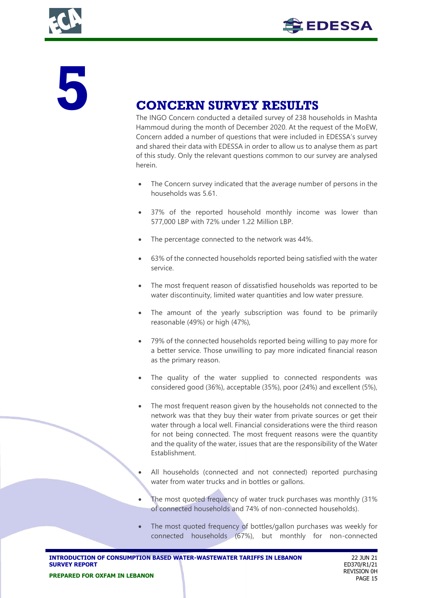



# **CONCERN SURVEY RESULTS**<br>The INGO Concern conducted a detailed survey of 238 hours

The INGO Concern conducted a detailed survey of 238 households in Mashta Hammoud during the month of December 2020. At the request of the MoEW, Concern added a number of questions that were included in EDESSA's survey and shared their data with EDESSA in order to allow us to analyse them as part of this study. Only the relevant questions common to our survey are analysed herein.

- The Concern survey indicated that the average number of persons in the households was 5.61.
- 37% of the reported household monthly income was lower than 577,000 LBP with 72% under 1.22 Million LBP.
- The percentage connected to the network was 44%.
- 63% of the connected households reported being satisfied with the water service.
- The most frequent reason of dissatisfied households was reported to be water discontinuity, limited water quantities and low water pressure.
- The amount of the yearly subscription was found to be primarily reasonable (49%) or high (47%),
- 79% of the connected households reported being willing to pay more for a better service. Those unwilling to pay more indicated financial reason as the primary reason.
- The quality of the water supplied to connected respondents was considered good (36%), acceptable (35%), poor (24%) and excellent (5%),
- The most frequent reason given by the households not connected to the network was that they buy their water from private sources or get their water through a local well. Financial considerations were the third reason for not being connected. The most frequent reasons were the quantity and the quality of the water, issues that are the responsibility of the Water Establishment.
	- All households (connected and not connected) reported purchasing water from water trucks and in bottles or gallons.
- The most quoted frequency of water truck purchases was monthly (31%) of connected households and 74% of non-connected households).
- The most quoted frequency of bottles/gallon purchases was weekly for connected households (67%), but monthly for non-connected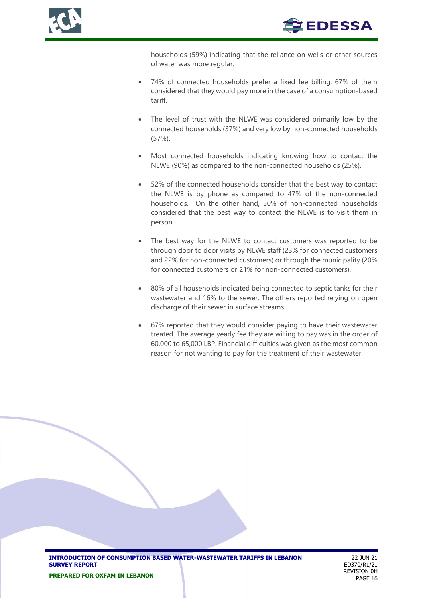



households (59%) indicating that the reliance on wells or other sources of water was more regular.

- 74% of connected households prefer a fixed fee billing. 67% of them considered that they would pay more in the case of a consumption-based tariff.
- The level of trust with the NLWE was considered primarily low by the connected households (37%) and very low by non-connected households (57%).
- Most connected households indicating knowing how to contact the NLWE (90%) as compared to the non-connected households (25%).
- 52% of the connected households consider that the best way to contact the NLWE is by phone as compared to 47% of the non-connected households. On the other hand, 50% of non-connected households considered that the best way to contact the NLWE is to visit them in person.
- The best way for the NLWE to contact customers was reported to be through door to door visits by NLWE staff (23% for connected customers and 22% for non-connected customers) or through the municipality (20% for connected customers or 21% for non-connected customers).
- 80% of all households indicated being connected to septic tanks for their wastewater and 16% to the sewer. The others reported relying on open discharge of their sewer in surface streams.
- 67% reported that they would consider paying to have their wastewater treated. The average yearly fee they are willing to pay was in the order of 60,000 to 65,000 LBP. Financial difficulties was given as the most common reason for not wanting to pay for the treatment of their wastewater.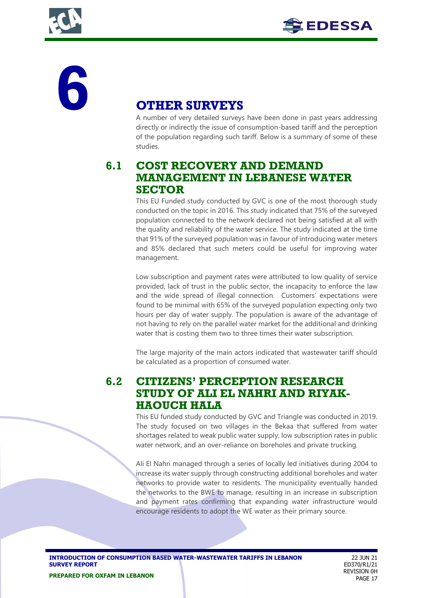



# **6 OTHER SURVEYS**

A number of very detailed surveys have been done in past years addressing directly or indirectly the issue of consumption-based tariff and the perception of the population regarding such tariff. Below is a summary of some of these studies.

# **6.1 COST RECOVERY AND DEMAND MANAGEMENT IN LEBANESE WATER SECTOR**

This EU Funded study conducted by GVC is one of the most thorough study conducted on the topic in 2016. This study indicated that 75% of the surveyed population connected to the network declared not being satisfied at all with the quality and reliability of the water service. The study indicated at the time that 91% of the surveyed population was in favour of introducing water meters and 85% declared that such meters could be useful for improving water management.

Low subscription and payment rates were attributed to low quality of service provided, lack of trust in the public sector, the incapacity to enforce the law and the wide spread of illegal connection. Customers' expectations were found to be minimal with 65% of the surveyed population expecting only two hours per day of water supply. The population is aware of the advantage of not having to rely on the parallel water market for the additional and drinking water that is costing them two to three times their water subscription.

The large majority of the main actors indicated that wastewater tariff should be calculated as a proportion of consumed water.

# **6.2 CITIZENS' PERCEPTION RESEARCH STUDY OF ALI EL NAHRI AND RIYAK-HAOUCH HALA**

This EU funded study conducted by GVC and Triangle was conducted in 2019. The study focused on two villages in the Bekaa that suffered from water shortages related to weak public water supply, low subscription rates in public water network, and an over-reliance on boreholes and private trucking.

Ali El Nahri managed through a series of locally led initiatives during 2004 to increase its water supply through constructing additional boreholes and water networks to provide water to residents. The municipality eventually handed the networks to the BWE to manage, resulting in an increase in subscription and payment rates confirming that expanding water infrastructure would encourage residents to adopt the WE water as their primary source.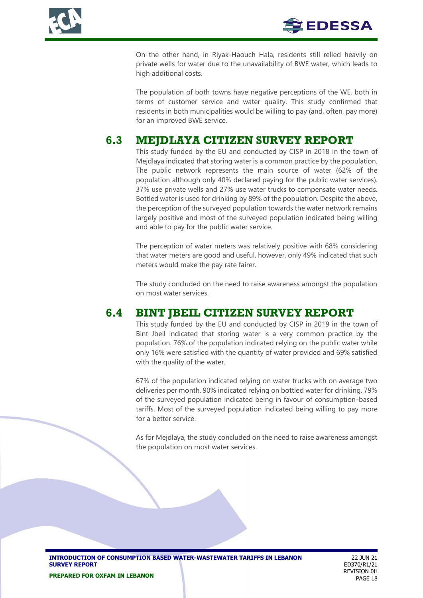



On the other hand, in Riyak-Haouch Hala, residents still relied heavily on private wells for water due to the unavailability of BWE water, which leads to high additional costs.

The population of both towns have negative perceptions of the WE, both in terms of customer service and water quality. This study confirmed that residents in both municipalities would be willing to pay (and, often, pay more) for an improved BWE service.

# **6.3 MEJDLAYA CITIZEN SURVEY REPORT**

This study funded by the EU and conducted by CISP in 2018 in the town of Mejdlaya indicated that storing water is a common practice by the population. The public network represents the main source of water (62% of the population although only 40% declared paying for the public water services). 37% use private wells and 27% use water trucks to compensate water needs. Bottled water is used for drinking by 89% of the population. Despite the above, the perception of the surveyed population towards the water network remains largely positive and most of the surveyed population indicated being willing and able to pay for the public water service.

The perception of water meters was relatively positive with 68% considering that water meters are good and useful, however, only 49% indicated that such meters would make the pay rate fairer.

The study concluded on the need to raise awareness amongst the population on most water services.

## **6.4 BINT JBEIL CITIZEN SURVEY REPORT**

This study funded by the EU and conducted by CISP in 2019 in the town of Bint Jbeil indicated that storing water is a very common practice by the population. 76% of the population indicated relying on the public water while only 16% were satisfied with the quantity of water provided and 69% satisfied with the quality of the water.

67% of the population indicated relying on water trucks with on average two deliveries per month. 90% indicated relying on bottled water for drinking. 79% of the surveyed population indicated being in favour of consumption-based tariffs. Most of the surveyed population indicated being willing to pay more for a better service.

As for Mejdlaya, the study concluded on the need to raise awareness amongst the population on most water services.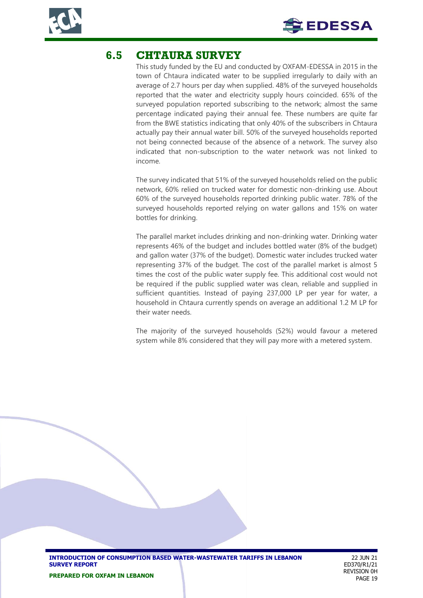



## **6.5 CHTAURA SURVEY**

This study funded by the EU and conducted by OXFAM-EDESSA in 2015 in the town of Chtaura indicated water to be supplied irregularly to daily with an average of 2.7 hours per day when supplied. 48% of the surveyed households reported that the water and electricity supply hours coincided. 65% of the surveyed population reported subscribing to the network; almost the same percentage indicated paying their annual fee. These numbers are quite far from the BWE statistics indicating that only 40% of the subscribers in Chtaura actually pay their annual water bill. 50% of the surveyed households reported not being connected because of the absence of a network. The survey also indicated that non-subscription to the water network was not linked to income.

The survey indicated that 51% of the surveyed households relied on the public network, 60% relied on trucked water for domestic non-drinking use. About 60% of the surveyed households reported drinking public water. 78% of the surveyed households reported relying on water gallons and 15% on water bottles for drinking.

The parallel market includes drinking and non-drinking water. Drinking water represents 46% of the budget and includes bottled water (8% of the budget) and gallon water (37% of the budget). Domestic water includes trucked water representing 37% of the budget. The cost of the parallel market is almost 5 times the cost of the public water supply fee. This additional cost would not be required if the public supplied water was clean, reliable and supplied in sufficient quantities. Instead of paying 237,000 LP per year for water, a household in Chtaura currently spends on average an additional 1.2 M LP for their water needs.

The majority of the surveyed households (52%) would favour a metered system while 8% considered that they will pay more with a metered system.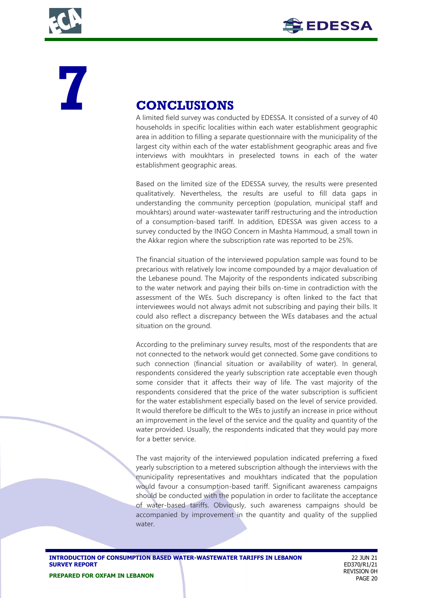



# **7 CONCLUSIONS**<br>A limited field survey was condu

A limited field survey was conducted by EDESSA. It consisted of a survey of 40 households in specific localities within each water establishment geographic area in addition to filling a separate questionnaire with the municipality of the largest city within each of the water establishment geographic areas and five interviews with moukhtars in preselected towns in each of the water establishment geographic areas.

Based on the limited size of the EDESSA survey, the results were presented qualitatively. Nevertheless, the results are useful to fill data gaps in understanding the community perception (population, municipal staff and moukhtars) around water-wastewater tariff restructuring and the introduction of a consumption-based tariff. In addition, EDESSA was given access to a survey conducted by the INGO Concern in Mashta Hammoud, a small town in the Akkar region where the subscription rate was reported to be 25%.

The financial situation of the interviewed population sample was found to be precarious with relatively low income compounded by a major devaluation of the Lebanese pound. The Majority of the respondents indicated subscribing to the water network and paying their bills on-time in contradiction with the assessment of the WEs. Such discrepancy is often linked to the fact that interviewees would not always admit not subscribing and paying their bills. It could also reflect a discrepancy between the WEs databases and the actual situation on the ground.

According to the preliminary survey results, most of the respondents that are not connected to the network would get connected. Some gave conditions to such connection (financial situation or availability of water). In general, respondents considered the yearly subscription rate acceptable even though some consider that it affects their way of life. The vast majority of the respondents considered that the price of the water subscription is sufficient for the water establishment especially based on the level of service provided. It would therefore be difficult to the WEs to justify an increase in price without an improvement in the level of the service and the quality and quantity of the water provided. Usually, the respondents indicated that they would pay more for a better service.

The vast majority of the interviewed population indicated preferring a fixed yearly subscription to a metered subscription although the interviews with the municipality representatives and moukhtars indicated that the population would favour a consumption-based tariff. Significant awareness campaigns should be conducted with the population in order to facilitate the acceptance of water-based tariffs. Obviously, such awareness campaigns should be accompanied by improvement in the quantity and quality of the supplied water.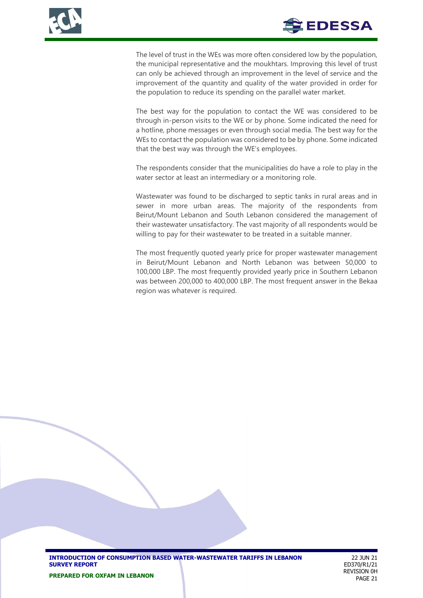

The level of trust in the WEs was more often considered low by the population, the municipal representative and the moukhtars. Improving this level of trust can only be achieved through an improvement in the level of service and the improvement of the quantity and quality of the water provided in order for the population to reduce its spending on the parallel water market.

The best way for the population to contact the WE was considered to be through in-person visits to the WE or by phone. Some indicated the need for a hotline, phone messages or even through social media. The best way for the WEs to contact the population was considered to be by phone. Some indicated that the best way was through the WE's employees.

The respondents consider that the municipalities do have a role to play in the water sector at least an intermediary or a monitoring role.

Wastewater was found to be discharged to septic tanks in rural areas and in sewer in more urban areas. The majority of the respondents from Beirut/Mount Lebanon and South Lebanon considered the management of their wastewater unsatisfactory. The vast majority of all respondents would be willing to pay for their wastewater to be treated in a suitable manner.

The most frequently quoted yearly price for proper wastewater management in Beirut/Mount Lebanon and North Lebanon was between 50,000 to 100,000 LBP. The most frequently provided yearly price in Southern Lebanon was between 200,000 to 400,000 LBP. The most frequent answer in the Bekaa region was whatever is required.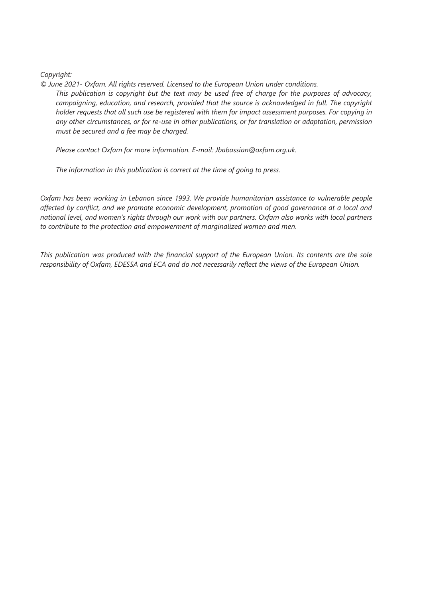*Copyright:* 

*© June 2021- Oxfam. All rights reserved. Licensed to the European Union under conditions.*

*This publication is copyright but the text may be used free of charge for the purposes of advocacy, campaigning, education, and research, provided that the source is acknowledged in full. The copyright holder requests that all such use be registered with them for impact assessment purposes. For copying in any other circumstances, or for re-use in other publications, or for translation or adaptation, permission must be secured and a fee may be charged.* 

*Please contact Oxfam for more information. E-mail: Jbabassian@oxfam.org.uk.* 

*The information in this publication is correct at the time of going to press.* 

*Oxfam has been working in Lebanon since 1993. We provide humanitarian assistance to vulnerable people affected by conflict, and we promote economic development, promotion of good governance at a local and national level, and women's rights through our work with our partners. Oxfam also works with local partners to contribute to the protection and empowerment of marginalized women and men.*

*This publication was produced with the financial support of the European Union. Its contents are the sole responsibility of Oxfam, EDESSA and ECA and do not necessarily reflect the views of the European Union.*